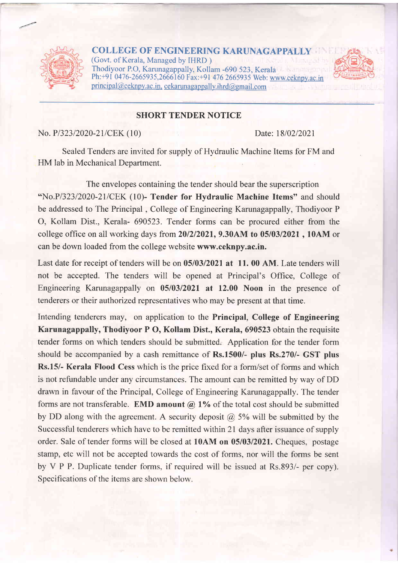

**COLLEGE OF ENGINEERING KARUNAGAPPALLY** (Govt. of Kerala, Managed by IHRD ) Thodiyoor PO, Karunagappally, Kollam -690 523, Kerala Ph: +91 0476-2665935,2666160 Fax: +91 476 2665935 Web: www.ceknpy.ac.in  $principal@cek$ npy.ac.in. cekarunagappally.ihrd@gmail.com



### SHORT TENDER NOTICE

No. P/323/2020-21/CEK (10) Date: 18/02/2021

Sealed Tenders are invited for supply of Hydraulic Machine Items for FM and HM lab in Mechanical Department.

The envelopes containing the tender should bear the superscription "No.P/323/2020-21/CEK (10)- Tender for Hydraulic Machine Items" and should be addressed to The Principal , College of Engineering Karunagappally, Thodiyoor <sup>P</sup> O, Kollam Dist., Kerala- 690523. Tender forms can be procured either from the college office on all working days from  $20/2/2021$ , 9.30AM to  $05/03/2021$ , 10AM or can be down loaded from the college website www.ceknpy.ac.in.

Last date for receipt of tenders will be on  $05/03/2021$  at 11.00 AM. Late tenders will not be accepted. The tenders will be opened at Principal's Office, College of Engineering Karunagappally on 05/03/2021 at 12.00 Noon in the presence of tenderers or their authorized representatives who may be present at that time.

Intending tenderers may, on application to the Principal, College of Engineering Karunagappally, Thodiyoor P O, Kollam Dist., Kerala, 690523 obtain the requisite tender forms on which tenders should be submitted. Application for the tender form should be accompanied by a cash remittance of Rs.1500/- plus Rs.270/- GST plus Rs.15/- Kerala Flood Cess which is the price fixed for a form/set of forms and which is not refundable under any circumstances. The amount can be remitted by way of DD drawn in favour of the Principal, College of Engineering Karunagappally. The tender forms are not transferable. **EMD amount**  $\omega$  1% of the total cost should be submitted by DD along with the agreement. A security deposit  $\omega$  5% will be submitted by the Successful tenderers which have to be remitted within 2l days after issuance of supply order. Sale of tender forms will be closed at 10AM on 05/03/2021. Cheques. postage stamp, etc will not be accepted towards the cost of forms, nor will the forms be sent by V P P. Duplicate tender forms, if required will be issued at Rs.893/- per copy). Specifications of the items are shown below.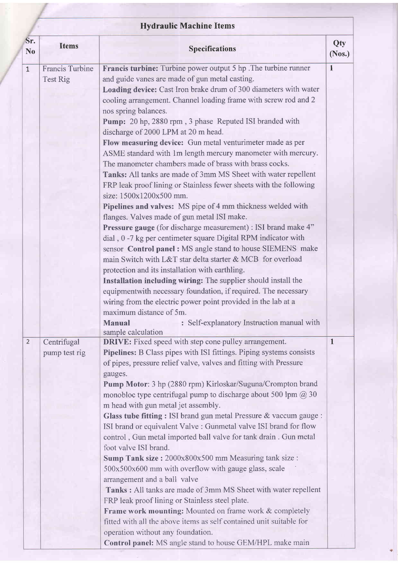|                       |                                    | <b>Hydraulic Machine Items</b>                                                                                                                                                                                                                                                                                                                                                                                                                                                                                                                                                                                                                                                                                                                                                                                                                                                                                                                                                                                                                                                                                                                                                                                                                                                                                                                                                                                                                                                                                    |               |  |  |
|-----------------------|------------------------------------|-------------------------------------------------------------------------------------------------------------------------------------------------------------------------------------------------------------------------------------------------------------------------------------------------------------------------------------------------------------------------------------------------------------------------------------------------------------------------------------------------------------------------------------------------------------------------------------------------------------------------------------------------------------------------------------------------------------------------------------------------------------------------------------------------------------------------------------------------------------------------------------------------------------------------------------------------------------------------------------------------------------------------------------------------------------------------------------------------------------------------------------------------------------------------------------------------------------------------------------------------------------------------------------------------------------------------------------------------------------------------------------------------------------------------------------------------------------------------------------------------------------------|---------------|--|--|
| Sr.<br>N <sub>o</sub> | <b>Items</b>                       | <b>Specifications</b>                                                                                                                                                                                                                                                                                                                                                                                                                                                                                                                                                                                                                                                                                                                                                                                                                                                                                                                                                                                                                                                                                                                                                                                                                                                                                                                                                                                                                                                                                             | Qty<br>(Nos.) |  |  |
| $\mathbf{1}$          | <b>Francis Turbine</b><br>Test Rig | <b>Francis turbine:</b> Turbine power output 5 hp. The turbine runner<br>and guide vanes are made of gun metal casting.<br>Loading device: Cast Iron brake drum of 300 diameters with water<br>cooling arrangement. Channel loading frame with screw rod and 2<br>nos spring balances.<br>Pump: 20 hp, 2880 rpm, 3 phase Reputed ISI branded with<br>discharge of 2000 LPM at 20 m head.<br>Flow measuring device: Gun metal venturimeter made as per<br>ASME standard with 1m length mercury manometer with mercury.<br>The manometer chambers made of brass with brass cocks.<br>Tanks: All tanks are made of 3mm MS Sheet with water repellent<br>FRP leak proof lining or Stainless fewer sheets with the following<br>size: 1500x1200x500 mm.<br>Pipelines and valves: MS pipe of 4 mm thickness welded with<br>flanges. Valves made of gun metal ISI make.<br><b>Pressure gauge</b> (for discharge measurement) : ISI brand make 4"<br>dial, 0 -7 kg per centimeter square Digital RPM indicator with<br>sensor Control panel : MS angle stand to house SIEMENS make<br>main Switch with L&T star delta starter & MCB for overload<br>protection and its installation with earthling.<br>Installation including wiring: The supplier should install the<br>equipment with necessary foundation, if required. The necessary<br>wiring from the electric power point provided in the lab at a<br>maximum distance of 5m.<br><b>Manual</b><br>: Self-explanatory Instruction manual with<br>sample calculation | $\mathbf{1}$  |  |  |
| $\overline{2}$        | Centrifugal<br>pump test rig       | <b>DRIVE:</b> Fixed speed with step cone pulley arrangement.<br>Pipelines: B Class pipes with ISI fittings. Piping systems consists<br>of pipes, pressure relief valve, valves and fitting with Pressure<br>gauges.<br>Pump Motor: 3 hp (2880 rpm) Kirloskar/Suguna/Crompton brand<br>monobloc type centrifugal pump to discharge about 500 lpm $\omega$ 30<br>m head with gun metal jet assembly.<br>Glass tube fitting : ISI brand gun metal Pressure & vaccum gauge :<br>ISI brand or equivalent Valve : Gunmetal valve ISI brand for flow<br>control, Gun metal imported ball valve for tank drain. Gun metal<br>foot valve ISI brand.<br>Sump Tank size: 2000x800x500 mm Measuring tank size:<br>500x500x600 mm with overflow with gauge glass, scale<br>arrangement and a ball valve<br>Tanks: All tanks are made of 3mm MS Sheet with water repellent<br>FRP leak proof lining or Stainless steel plate.<br>Frame work mounting: Mounted on frame work & completely<br>fitted with all the above items as self contained unit suitable for<br>operation without any foundation.<br>Control panel: MS angle stand to house GEM/HPL make main                                                                                                                                                                                                                                                                                                                                                                | $\mathbf{1}$  |  |  |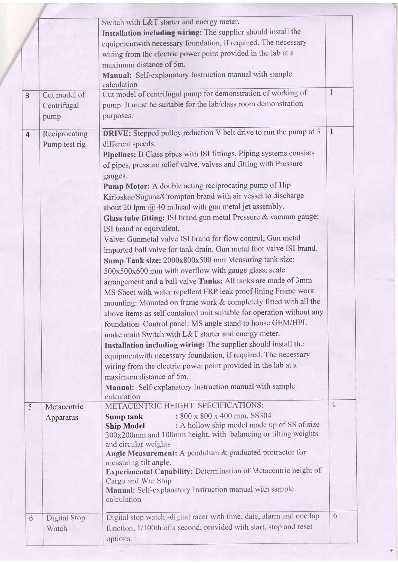|                |               | Switch with L&T starter and energy meter.                                     |              |
|----------------|---------------|-------------------------------------------------------------------------------|--------------|
|                |               | Installation including wiring: The supplier should install the                |              |
|                |               | equipmentwith necessary foundation, if required. The necessary                |              |
|                |               | wiring from the electric power point provided in the lab at a                 |              |
|                |               | maximum distance of 5m.                                                       |              |
|                |               | Manual: Self-explanatory Instruction manual with sample                       |              |
|                |               | calculation                                                                   |              |
| $\overline{3}$ | Cut model of  | Cut model of centrifugal pump for demonstration of working of                 | $\mathbf{1}$ |
|                | Centrifugal   | pump. It must be suitable for the lab/class room demonstration                |              |
|                | pump          | purposes.                                                                     |              |
|                |               |                                                                               |              |
| $\overline{4}$ | Reciprocating | <b>DRIVE:</b> Stepped pulley reduction V belt drive to run the pump at 3      | $\mathbf{1}$ |
|                | Pump test rig | different speeds.                                                             |              |
|                |               | Pipelines: B Class pipes with ISI fittings. Piping systems consists           |              |
|                |               | of pipes, pressure relief valve, valves and fitting with Pressure             |              |
|                |               | gauges.                                                                       |              |
|                |               | Pump Motor: A double acting reciprocating pump of 1hp                         |              |
|                |               | Kirloskar/Suguna/Crompton brand with air vessel to discharge                  |              |
|                |               | about 20 lpm $\omega$ 40 m head with gun metal jet assembly.                  |              |
|                |               | Glass tube fitting: ISI brand gun metal Pressure & vacuum gauge:              |              |
|                |               | ISI brand or equivalent.                                                      |              |
|                |               | Valve: Gunmetal valve ISI brand for flow control, Gun metal                   |              |
|                |               | imported ball valve for tank drain. Gun metal foot valve ISI brand.           |              |
|                |               | Sump Tank size: 2000x800x500 mm Measuring tank size:                          |              |
|                |               | 500x500x600 mm with overflow with gauge glass, scale                          |              |
|                |               |                                                                               |              |
|                |               | arrangement and a ball valve Tanks: All tanks are made of 3mm                 |              |
|                |               | MS Sheet with water repellent FRP leak proof lining Frame work                |              |
|                |               | mounting: Mounted on frame work & completely fitted with all the              |              |
|                |               | above items as self contained unit suitable for operation without any         |              |
|                |               | foundation. Control panel: MS angle stand to house GEM/HPL                    |              |
|                |               | make main Switch with L&T starter and energy meter.                           |              |
|                |               | Installation including wiring: The supplier should install the                |              |
|                |               | equipmentwith necessary foundation, if required. The necessary                |              |
|                |               | wiring from the electric power point provided in the lab at a                 |              |
|                |               | maximum distance of 5m.                                                       |              |
|                |               | Manual: Self-explanatory Instruction manual with sample                       |              |
|                |               | calculation                                                                   |              |
| 5              | Metacentric   | METACENTRIC HEIGHT SPECIFICATIONS:                                            | $\mathbf{1}$ |
|                | Apparatus     | : 800 x 800 x 400 mm, SS304<br>Sump tank                                      |              |
|                |               | : A hollow ship model made up of SS of size<br><b>Ship Model</b>              |              |
|                |               | 300x200mm and 100mm height, with balancing or tilting weights                 |              |
|                |               | and circular weights                                                          |              |
|                |               | Angle Measurement: A pendulum & graduated protractor for                      |              |
|                |               | measuring tilt angle.                                                         |              |
|                |               | Experimental Capability: Determination of Metacentric height of               |              |
|                |               | Cargo and War Ship<br>Manual: Self-explanatory Instruction manual with sample |              |
|                |               | calculation                                                                   |              |
| 6              | Digital Stop  | Digital stop watch:-digital racer with time, date, alarm and one lap          | 6            |
|                | Watch         | function, 1/100th of a second, provided with start, stop and reset            |              |
|                |               | options.                                                                      |              |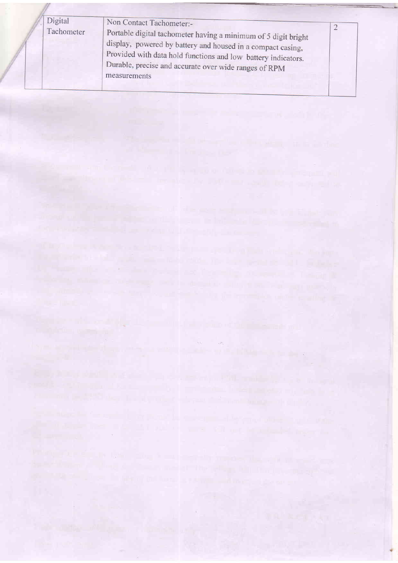| Digital<br>Tachometer | Non Contact Tachometer:-<br>Portable digital tachometer having a minimum of 5 digit bright<br>display, powered by battery and housed in a compact casing,<br>Provided with data hold functions and low battery indicators. |  |
|-----------------------|----------------------------------------------------------------------------------------------------------------------------------------------------------------------------------------------------------------------------|--|
|                       | Durable, precise and accurate over wide ranges of RPM<br>measurements                                                                                                                                                      |  |

 $\sim 10^6$ 

a de la constitución de la constitución de la constitución de la constitución de la constitución de la constit<br>El constitución de la constitución de la constitución de la constitución de la constitución de la constitución

<u>Proprietoria de la companhabete de la co</u>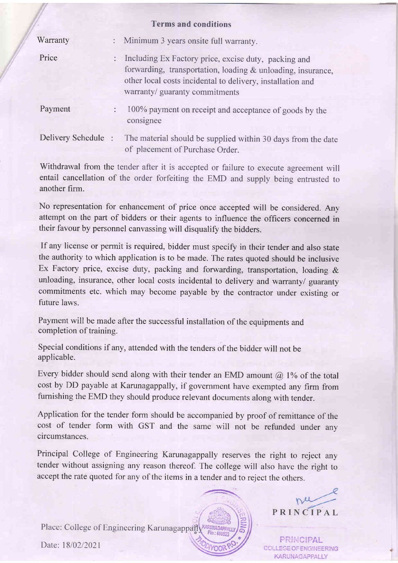|                    |                | тегшэ анч сончинных                                                                                                                                                                                                   |
|--------------------|----------------|-----------------------------------------------------------------------------------------------------------------------------------------------------------------------------------------------------------------------|
| Warranty           |                | : Minimum 3 years onsite full warranty.                                                                                                                                                                               |
| Price              |                | : Including Ex Factory price, excise duty, packing and<br>forwarding, transportation, loading & unloading, insurance,<br>other local costs incidental to delivery, installation and<br>warranty/ guaranty commitments |
| Payment            | $\ddot{\cdot}$ | 100% payment on receipt and acceptance of goods by the<br>consignee                                                                                                                                                   |
| Delivery Schedule: |                | The material should be supplied within 30 days from the date<br>of placement of Purchase Order.                                                                                                                       |

Terms and conditions

Withdrawal from the tender after it is accepted or failure to execute agreement will entail cancellation of the order forfeiting the EMD and supply being entrusted to another firm.

No representation for enhancement of price once accepted will be considered. Any attempt on the part of bidders or their agents to influence the officers concerned in their favour by personnel canvassing will disqualify the bidders.

If any license or permit is required, bidder must specify in their tender and also state the authority to which application is to be made. The rates quoted should be inclusive Ex Factory price, excise duty, packing and forwarding, transportation, loading & unloading, insurance, other local costs incidental to delivery and warranty/ guaranty commitments etc. which may become payable by the contractor under existing or future laws.

Payment will be made after the successful installation of the equipments and completion of training.

Special conditions if any, attended with the tenders of the bidder will not be applicable.

Every bidder should send along with their tender an EMD amount  $(a)$  1% of the total cost by DD payable at Karunagappally, if government have exempted any firm from fumishing the EMD they should produce relevant documents along with tender.

Application for the tender form should be accompanied by proof of remittance of the cost of tender form with GST and the same will not be refunded under any circumstances.

Principal College of Engineering Karunagappally reseryes the right to reject any tender without assigning any reason thereof. The college will also have the right to accept the rate quoted for any of the items in a tender and to reject the others.

 $\overline{\phantom{a}}$ 



PRINCIPAL COLLEGE OF ENGINEERING KARUNAGAPPALLY

PRINCIPAL

nu

Date: 18/02/2021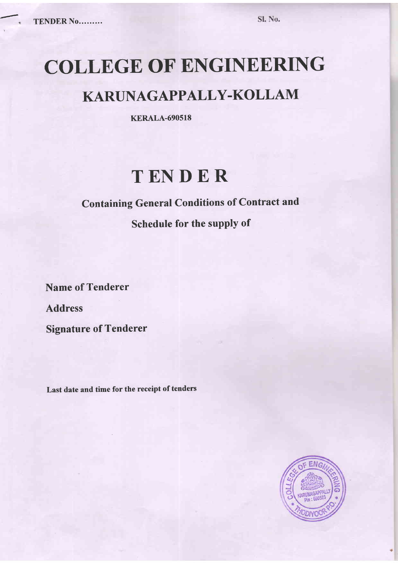# COLLEGE OF ENGINEERING

## KARUNAGAPPALLY-KOLLAM

KERALA-690518

# TENDER

### Containing General Conditions of Contract and

Schedule for the supply of

Name of Tenderer Address Signature of Tenderer

Last date and time for the receipt of tenders

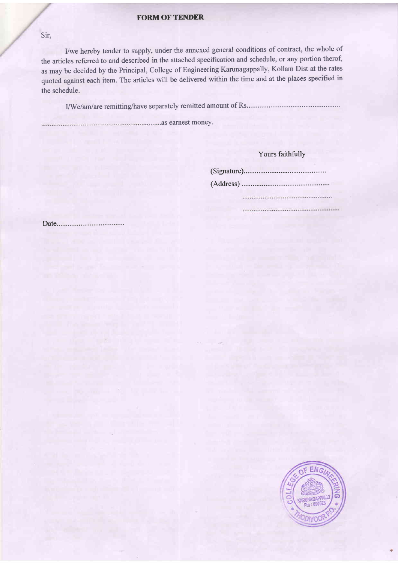#### **FORM OF TENDER**

Sir.

I/we hereby tender to supply, under the annexed general conditions of contract, the whole of the articles referred to and described in the attached specification and schedule, or any portion therof, as may be decided by the Principal, College of Engineering Karunagappally, Kollam Dist at the rates quoted against each item. The articles will be delivered within the time and at the places specified in the schedule.

llW e I am/ ar e remittin g/have separately remitted amount of Rs...........

 $\sim$ 

.as earnest money.

### Yours faithfully

(Signature).

(Address)

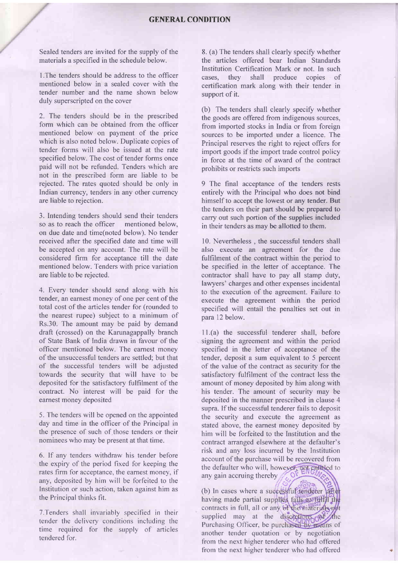Sealed tenders are invited for the supply of the materials a specified in the schedule below.

l.The tenders should be address to the officer mentioned below in a sealed cover with the tender number and the name shown below duly superscripted on the cover

2. The tenders should be in the prescribed form which can be obtained from the officer mentioned below on payment of the price which is also noted below. Duplicate copies of tender forms will also be issued at the rate specified below. The cost of tender forms once paid will not be refunded. Tenders which are not in the prescribed form are liable to be rejected. The rates quoted should be only in Indian currency, tenders in any other currency are liable to rejection.

3. Intending tenders should send their tenders so as to reach the officer mentioned below, on due date and time(noted below). No tender received after the specified date and time will be accepted on any account. The rate will be considered firm for acceptance till the date mentioned below. Tenders with price variation are liable to be rejected.

4. Every tender should send along with his tender, an earnest money of one per cent of the total cost of the articles tender for (rounded to the nearest rupee) subject to a minimum of Rs.30. The amount may be paid by demand draft (crossed) on the Karunagappally branch of State Bank of India drawn in favour of the officer mentioned below. The earnest money of the unsuccessful tenders are settled; but that of the successful tenders will be adjusted towards the security that will have to be deposited for the satisfactory fulfilment of the contract. No interest will be paid for the earnest money deposited

5. The tenders will be opened on the appointed day and time in the officer of the Principal in the presence of such of those tenders or their nominees who may be present at that time.

6. lf any tenders withdraw his tender before the expiry of the period fixed for keeping the rates firm for acceptance, the earnest money, if any, deposited by him will be forfeited to the Institution or such action, taken against him as the Principal thinks fit.

7. Tenders shall invariably specified in their tender the delivery conditions including the time required for the supply of articles tendered for.

8. (a) The tenders shall clearly specify whether the articles offered bear Indian Standards Institution Certification Mark or not. In such cases, they shall produce copies of cases, they shall produce copies of certification mark along with their tender in support of it.

(b) The tenders shall clearly specify whether the goods are offered from indigenous sources, from imported stocks in India or from foreign sources to be imported under a licence. The Principal reserves the right to reject offers for import goods if the import trade control policy in force at the time of award of the contract prohibits or restricts such imports

9 The final acceptance of the tenders rests entirely with the Principal who does not bind himself to accept the lowest or any tender. But the tenders on their part should be prepared to carry out such portion of the supplies included in their tenders as may be allotted to them.

10. Nevertheless , the successful tenders shall also execute an agreement for the due fulfilment of the contract within the period to be specified in the letter of acceptance. The contractor shall have to pay all stamp duty, lawyers' charges and other expenses incidental to the execution of the agreement. Failure to execute the agreement within the period specified will entail the penalties set out in para 12 below.

11.(a) the successful tenderer shall, before signing the agreement and within the period specified in the letter of acceptance of the tender, deposit a sum equivalent to 5 percent of the value of the contract as security for the satisfactory fulfilment of the contract less the amount of money deposited by him along with his tender. The amount of security may be deposited in the manner prescribed in clause 4 supra. If the successful tenderer fails to deposit the security and execute the agreement as stated above, the earnest money deposited by him will be forfeited to the Institution and the contract arranged elsewhere at the defaulter's risk and any loss incurred by the Institution account of the purchase will be recovered from the defaulter who will, however, not entitled to any gain accruing thereby

 $\eta_{\rm g}$ (b) In cases where a <sup>s</sup> having made partial supplies fails morrelly the contracts in full, all or any of the materials not supplied may at the discretions of Purchasing Officer, be purchased by means of another tender quotation or by negotiation from the next higher tenderer who had offered from the next higher tenderer who had offered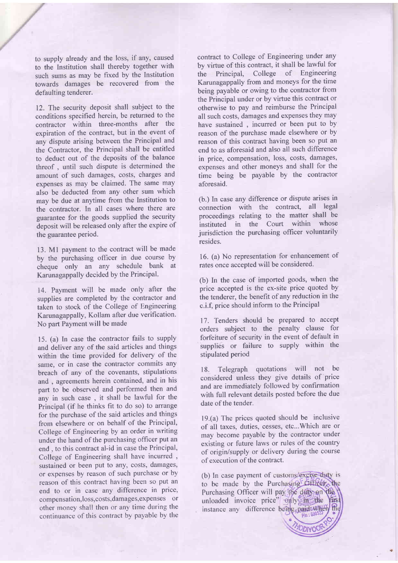to supply already and the loss, if any, caused to the Institution shall thereby together with such sums as may be fixed by the Institution towards damages be recovered from the defaulting tenderer.

12. The security deposit shall subject to the conditions specified herein, be returned to the contractor within three-months after the expiration of the contract, but in the event of any dispute arising between the Principal and the Contractor, the Principal shall be entitled to deduct out of the deposits of the balance threof , until such dispute is determined the amount of such damages, costs, charges and expenses as may be claimed. The same may also be deducted from any other sum which may be due at anytime from the Institution to the contractor. In all cases where there are guarantee for the goods supplied the security deposit will be released only after the expire of the guarantee period.

13. Ml payment to the contract will be made by the purchasing officer in due course by cheque only an any schedule bank at Karunagappally decided by the Principal.

14. Payment will be made only after the supplies are completed by the contractor and taken to stock of the College of Engineering Karunagappally, Kollam after due verification' No part Payment will be made

15. (a) In case the contractor fails to supply and deliver any of the said articles and things within the time provided for delivery of the same, or in case the contractor commits any breach of any of the covenants, stipulations and , agreements herein contained, and in his part to be observed and performed then and any in such case , it shall be lawful for the Principal (if he thinks fit to do so) to arrange for the purchase of the said articles and things from elsewhere or on behalf of the Principal, College of Engineering by an order in writing under the hand of the purchasing officer put an end , to this contract al-id in case the Principal, College of Engineering shall have incurred , sustained or been put to any, costs, damages, or expenses by reason of such purchase or by reason of this contract having been so put an end to or in case any difference in price, compensation,loss,costs,damages,expenses or other money shall then or any time during the continuance of this contract by payable by the

contract to College of Engineering under any by virtue of this contract, it shall be lawful for the Principal, College of Engineering Karunagappally from and moneys for the time being payable or owing to the contractor from the Principal under or by virtue this contract or otherwise to pay and reimburse the Principal all such costs, damages and expenses they may have sustained , incurred or been put to by reason of the purchase made elsewhere or by reason of this contract having been so put an end to as aforesaid and also all such difference in price, compensation, loss, costs, damages, expenses and other moneys and shall for the time being be payable by the contractor aforesaid.

(b.) In case any difference or dispute arises in connection with the contract, all legal proceedings relating to the matter shall be<br>instituted in the Court within whose instituted in the Court within jurisdiction the purchasing officer voluntarily resides.

16. (a) No representation for enhancement of rates once accepted will be considered.

(b) In the case of imported goods, when the price accepted is the ex-site price quoted by the tenderer, the benefit of any reduction in the c.i.f, price should inform to the Principal

17. Tenders should be prepared to accept orders subject to the penalty clause for forfeiture of security in the event of default in supplies or failure to supply within the stipulated period

18. Telegraph quotations will not be considered unless they give details of price and are immediately followed by confirmation with full relevant details posted before the due date of the tender.

19.(a) The prices quoted should be inclusive of all taxes, duties, cesses, etc...Which are or may become payable by the contractor under existing or future laws or rules of the country of origin/supply or delivery during the course of execution of the contract.

(b) In case payment of customs/excise duty is to be made by the Purchasing Officer, the Purchasing Officer will pay the duty on the unloaded invoice price" only in the first instance any difference being paid availery the Pin: 690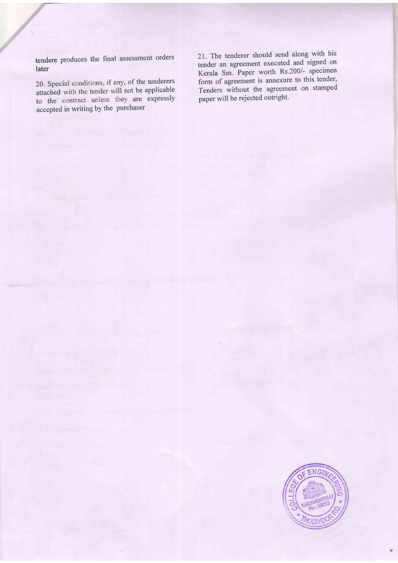tendere produces the final assessment orders later

20. Special conditions, if any, of the tenderers attached with the tender will not be applicable to the contract unless they are expressly accepted in writing by the purchaser

21. The tenderer should send along with his tender an agreement executed and signed on Kerala Sm. Paper worth Rs.200/- specimen form of agreement is annexure to this tender, Tenders without the agreement on stamped paper will be rejected outright.

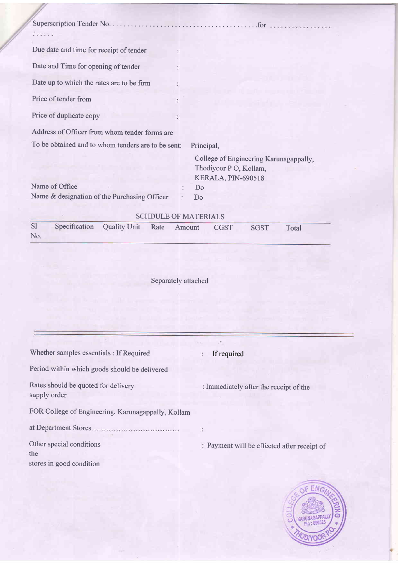| Due date and time for receipt of tender                                                                                                                              |  |  |  |  |  |
|----------------------------------------------------------------------------------------------------------------------------------------------------------------------|--|--|--|--|--|
| Date and Time for opening of tender                                                                                                                                  |  |  |  |  |  |
| Date up to which the rates are to be firm                                                                                                                            |  |  |  |  |  |
| Price of tender from                                                                                                                                                 |  |  |  |  |  |
| Price of duplicate copy                                                                                                                                              |  |  |  |  |  |
| Address of Officer from whom tender forms are                                                                                                                        |  |  |  |  |  |
| To be obtained and to whom tenders are to be sent:<br>Principal,                                                                                                     |  |  |  |  |  |
| College of Engineering Karunagappally,<br>Thodiyoor P O, Kollam,<br>KERALA, PIN-690518<br>Name of Office<br>Do<br>Name & designation of the Purchasing Officer<br>Do |  |  |  |  |  |
| <b>SCHDULE OF MATERIALS</b><br>S <sub>1</sub><br>Specification<br><b>Quality Unit</b><br>Rate<br>Amount<br><b>CGST</b><br><b>SGST</b><br>Total<br>No.                |  |  |  |  |  |
| Separately attached                                                                                                                                                  |  |  |  |  |  |
| Whether samples essentials : If Required<br>If required                                                                                                              |  |  |  |  |  |
| Period within which goods should be delivered                                                                                                                        |  |  |  |  |  |

Ġ,

Rates should be quoted for delivery supply order

Immediately after the receipt of the

FOR College of Engineering, Karunagappally, Kollam

at Department Stores

Other special conditions the stores in good condition

Payment will be effected after receipt of